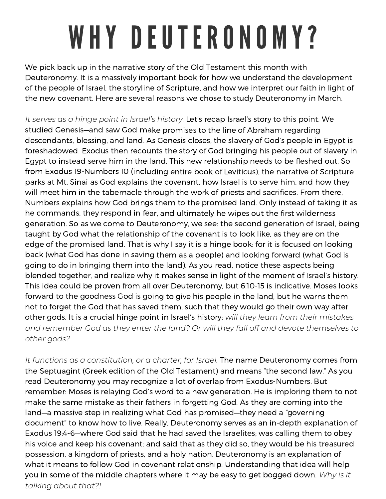## WHY DEUTERONOMY?

We pick back up in the narrative story of the Old Testament this month with Deuteronomy. It is <sup>a</sup> massively important book for how we understand the development of the people of Israel, the storyline of Scripture, and how we interpret our faith in light of the new covenant. Here are several reasons we chose to study Deuteronomy in March.

*It serves as <sup>a</sup> hinge point in Israel's history.* Let's recap Israel's story to this point. We studied Genesis—and saw God make promises to the line of Abraham regarding descendants, blessing, and land. As Genesis closes, the slavery of God's people in Egypt is foreshadowed. Exodus then recounts the story of God bringing his people out of slavery in Egypt to instead serve him in the land. This new relationship needs to be fleshed out. So from Exodus 19-Numbers 10 (including entire book of Leviticus), the narrative of Scripture parks at Mt. Sinai as God explains the covenant, how Israel is to serve him, and how they will meet him in the tabernacle through the work of priests and sacrifices. From there, Numbers explains how God brings them to the promised land. Only instead of taking it as he commands, they respond in fear, and ultimately he wipes out the first wilderness generation. So as we come to Deuteronomy, we see: the second generation of Israel, being taught by God what the relationship of the covenant is to look like, as they are on the edge of the promised land. That is why I say it is <sup>a</sup> hinge book: for it is focused on looking back (what God has done in saving them as <sup>a</sup> people) and looking forward (what God is going to do in bringing them into the land). As you read, notice these aspects being blended together, and realize why it makes sense in light of the moment of Israel's history. This idea could be proven from all over Deuteronomy, but 6:10-15 is indicative. Moses looks forward to the goodness God is going to give his people in the land, but he warns them not to forget the God that has saved them, such that they would go their own way after other gods. It is <sup>a</sup> crucial hinge point in Israel's history: *will they learn from their mistakes and remember God as they enter the land? Or will they fall off and devote themselves to other gods?*

*It functions as <sup>a</sup> constitution, or <sup>a</sup> charter, for Israel.* The name Deuteronomy comes from the Septuagint (Greek edition of the Old Testament) and means "the second law." As you read Deuteronomy you may recognize <sup>a</sup> lot of overlap from Exodus-Numbers. But remember: Moses is relaying God's word to <sup>a</sup> new generation. He is imploring them to not make the same mistake as their fathers in forgetting God. As they are coming into the land—a massive step in realizing what God has promised—they need <sup>a</sup> "governing document" to know how to live. Really, Deuteronomy serves as an in-depth explanation of Exodus 19:4-6—where God said that he had saved the Israelites; was calling them to obey his voice and keep his covenant; and said that as they did so, they would be his treasured possession, <sup>a</sup> kingdom of priests, and <sup>a</sup> holy nation. Deuteronomy is an explanation of what it means to follow God in covenant relationship. Understanding that idea will help you in some of the middle chapters where it may be easy to get bogged down. *Why is it talking about that?!*